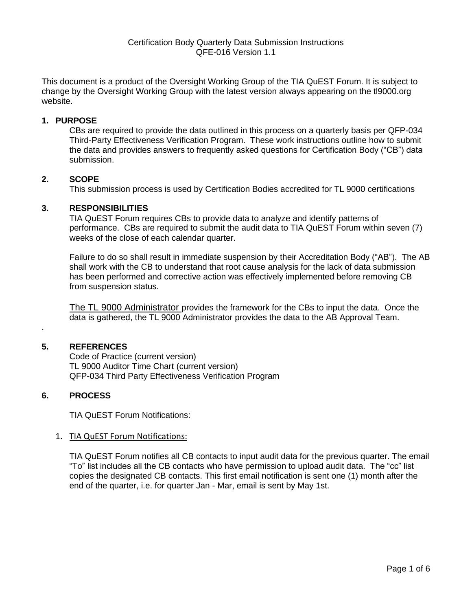This document is a product of the Oversight Working Group of the TIA QuEST Forum. It is subject to change by the Oversight Working Group with the latest version always appearing on the tl9000.org website.

## **1. PURPOSE**

CBs are required to provide the data outlined in this process on a quarterly basis per QFP-034 Third-Party Effectiveness Verification Program. These work instructions outline how to submit the data and provides answers to frequently asked questions for Certification Body ("CB") data submission.

## **2. SCOPE**

This submission process is used by Certification Bodies accredited for TL 9000 certifications

## **3. RESPONSIBILITIES**

TIA QuEST Forum requires CBs to provide data to analyze and identify patterns of performance. CBs are required to submit the audit data to TIA QuEST Forum within seven (7) weeks of the close of each calendar quarter.

Failure to do so shall result in immediate suspension by their Accreditation Body ("AB"). The AB shall work with the CB to understand that root cause analysis for the lack of data submission has been performed and corrective action was effectively implemented before removing CB from suspension status.

The TL 9000 Administrator provides the framework for the CBs to input the data. Once the data is gathered, the TL 9000 Administrator provides the data to the AB Approval Team.

### **5. REFERENCES**

.

Code of Practice (current version) TL 9000 Auditor Time Chart (current version) QFP-034 Third Party Effectiveness Verification Program

# **6. PROCESS**

TIA QuEST Forum Notifications:

### 1. TIA QuEST Forum Notifications:

TIA QuEST Forum notifies all CB contacts to input audit data for the previous quarter. The email "To" list includes all the CB contacts who have permission to upload audit data. The "cc" list copies the designated CB contacts. This first email notification is sent one (1) month after the end of the quarter, i.e. for quarter Jan - Mar, email is sent by May 1st.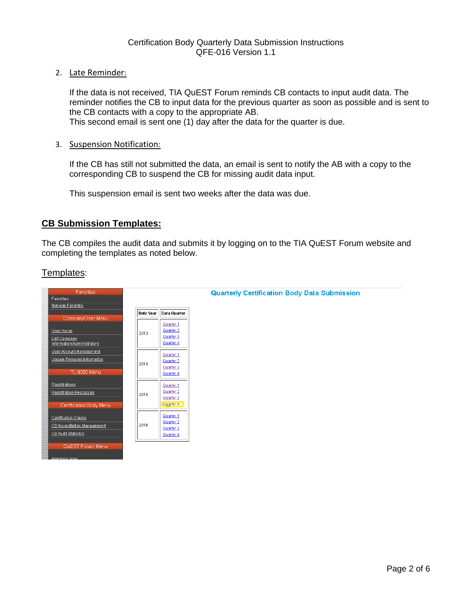2. Late Reminder:

If the data is not received, TIA QuEST Forum reminds CB contacts to input audit data. The reminder notifies the CB to input data for the previous quarter as soon as possible and is sent to the CB contacts with a copy to the appropriate AB. This second email is sent one (1) day after the data for the quarter is due.

3. Suspension Notification:

If the CB has still not submitted the data, an email is sent to notify the AB with a copy to the corresponding CB to suspend the CB for missing audit data input.

This suspension email is sent two weeks after the data was due.

# **CB Submission Templates:**

The CB compiles the audit data and submits it by logging on to the TIA QuEST Forum website and completing the templates as noted below.

# Templates:

| <b>Favorites</b>                               |           |                        |
|------------------------------------------------|-----------|------------------------|
| Favorites                                      |           |                        |
| Manage Favorites                               |           |                        |
|                                                | Data Year | Data Quarter           |
| Company/User Menu                              |           |                        |
|                                                |           | Quarter 1              |
| User Home                                      | 2013      | Quarter 2              |
| Edit Company<br>Information/Administrators     |           | Quarter 3<br>Quarter 4 |
|                                                |           |                        |
| User Account Management                        |           | Quarter 1              |
| Update Personal Information                    | 2014      | Quarter 2              |
|                                                |           | Quarter 3              |
| TL 9000 Menu                                   |           | Quarter 4              |
| Registrations                                  |           | Quarter 1              |
| <b>Registration Resources</b>                  |           | Quarter 2              |
|                                                | 2015      | Quarter 3              |
| Certification Body Menu                        |           | Quarter 4              |
|                                                |           |                        |
| Certification Clients                          |           | Quarter 1              |
| CB Accreditation Management                    | 2016      | Quarter 2              |
| <b>CB Audit Statistics</b>                     |           | Quarter 3<br>Quarter 4 |
|                                                |           |                        |
| QuEST Forum Menu                               |           |                        |
|                                                |           |                        |
| <b>Address Association Address Association</b> |           |                        |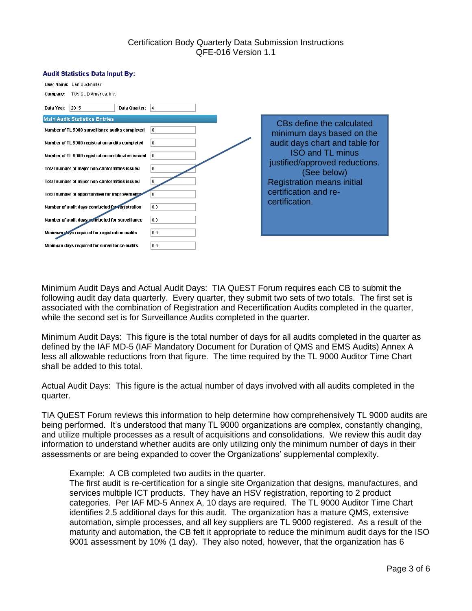#### **Audit Statistics Data Input By:**

| <b>User Name: Earl Buckmiller</b>                        |                                                           |
|----------------------------------------------------------|-----------------------------------------------------------|
| TUV SUD America, Inc.<br>Company:                        |                                                           |
| 2015<br>Data Year:<br>Data Quarter:<br> 4                |                                                           |
| <b>Main Audit Statistics Entries</b>                     |                                                           |
| Number of TL 9000 surveillance audits completed<br>lo.   | CBs define the calculated<br>minimum days based on the    |
| ١o<br>Number of TL 9000 registration audits completed    | audit days chart and table for                            |
| Number of TL 9000 registration certificates issued<br>10 | <b>ISO and TL minus</b><br>justified/approved reductions. |
| ۱o.<br>Total number of major non-conformities issued     | (See below)                                               |
| Total number of minor non-conformities issued<br>10.     | <b>Registration means initial</b>                         |
| Total number of opportunities for improvements           | certification and re-                                     |
| Number of audit days conducted for registration<br>0.0   | certification.                                            |
| Number of audit days conducted for surveillance<br>10.0  |                                                           |
| 0.0<br>Minimum days required for registration audits     |                                                           |
| l 0.0<br>Minimum days required for surveillance audits   |                                                           |

Minimum Audit Days and Actual Audit Days: TIA QuEST Forum requires each CB to submit the following audit day data quarterly. Every quarter, they submit two sets of two totals. The first set is associated with the combination of Registration and Recertification Audits completed in the quarter, while the second set is for Surveillance Audits completed in the quarter.

Minimum Audit Days: This figure is the total number of days for all audits completed in the quarter as defined by the IAF MD-5 (IAF Mandatory Document for Duration of QMS and EMS Audits) Annex A less all allowable reductions from that figure. The time required by the TL 9000 Auditor Time Chart shall be added to this total.

Actual Audit Days: This figure is the actual number of days involved with all audits completed in the quarter.

TIA QuEST Forum reviews this information to help determine how comprehensively TL 9000 audits are being performed. It's understood that many TL 9000 organizations are complex, constantly changing, and utilize multiple processes as a result of acquisitions and consolidations. We review this audit day information to understand whether audits are only utilizing only the minimum number of days in their assessments or are being expanded to cover the Organizations' supplemental complexity.

Example: A CB completed two audits in the quarter.

The first audit is re-certification for a single site Organization that designs, manufactures, and services multiple ICT products. They have an HSV registration, reporting to 2 product categories. Per IAF MD-5 Annex A, 10 days are required. The TL 9000 Auditor Time Chart identifies 2.5 additional days for this audit. The organization has a mature QMS, extensive automation, simple processes, and all key suppliers are TL 9000 registered. As a result of the maturity and automation, the CB felt it appropriate to reduce the minimum audit days for the ISO 9001 assessment by 10% (1 day). They also noted, however, that the organization has 6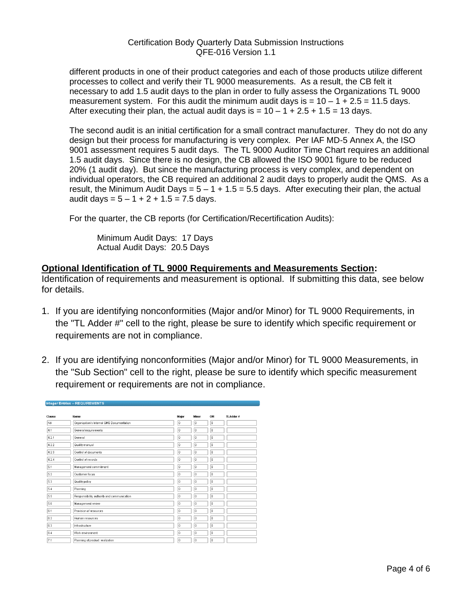different products in one of their product categories and each of those products utilize different processes to collect and verify their TL 9000 measurements. As a result, the CB felt it necessary to add 1.5 audit days to the plan in order to fully assess the Organizations TL 9000 measurement system. For this audit the minimum audit days is  $= 10 - 1 + 2.5 = 11.5$  days. After executing their plan, the actual audit days is  $= 10 - 1 + 2.5 + 1.5 = 13$  days.

The second audit is an initial certification for a small contract manufacturer. They do not do any design but their process for manufacturing is very complex. Per IAF MD-5 Annex A, the ISO 9001 assessment requires 5 audit days. The TL 9000 Auditor Time Chart requires an additional 1.5 audit days. Since there is no design, the CB allowed the ISO 9001 figure to be reduced 20% (1 audit day). But since the manufacturing process is very complex, and dependent on individual operators, the CB required an additional 2 audit days to properly audit the QMS. As a result, the Minimum Audit Days =  $5 - 1 + 1.5 = 5.5$  days. After executing their plan, the actual audit days =  $5 - 1 + 2 + 1.5 = 7.5$  days.

For the quarter, the CB reports (for Certification/Recertification Audits):

Minimum Audit Days: 17 Days Actual Audit Days: 20.5 Days

# **Optional Identification of TL 9000 Requirements and Measurements Section:**

Identification of requirements and measurement is optional. If submitting this data, see below for details.

- 1. If you are identifying nonconformities (Major and/or Minor) for TL 9000 Requirements, in the "TL Adder #" cell to the right, please be sure to identify which specific requirement or requirements are not in compliance.
- 2. If you are identifying nonconformities (Major and/or Minor) for TL 9000 Measurements, in the "Sub Section" cell to the right, please be sure to identify which specific measurement requirement or requirements are not in compliance.

| Integer Entries -- REQUIREMENTS |                                             |              |       |              |                 |  |  |
|---------------------------------|---------------------------------------------|--------------|-------|--------------|-----------------|--|--|
|                                 |                                             |              |       |              |                 |  |  |
| Clause                          | Name                                        | Major        | Minor | OFI          | <b>TLAdder#</b> |  |  |
| NA                              | Organization's Internal QMS Documentation   | $\mathbf{0}$ | O     | lo.          |                 |  |  |
| 4.1                             | General requirements                        | 0            | o     | o            |                 |  |  |
| 4.2.1                           | General                                     | $\mathbf{0}$ | o     | $\mathbf{0}$ |                 |  |  |
| 4.2.2                           | Quality manual                              | $\mathbf{0}$ | 0     | $\theta$     |                 |  |  |
| 4.2.3                           | Control of documents                        | $\bf{0}$     | o     | $\theta$     |                 |  |  |
| 4.2.4                           | Control of records                          | 0            | o     | $\mathbf{0}$ |                 |  |  |
| 5.1                             | Management commitment                       | Ū.           | lo.   | $\theta$     |                 |  |  |
| 5.2                             | Customer focus                              | $\bf{0}$     | o     | $\theta$     |                 |  |  |
| 5.3                             | Quality policy                              | o            | o     | ۱o           |                 |  |  |
| 5.4                             | Planning                                    | 0            | O     | o            |                 |  |  |
| 5.5                             | Responsibility, authority and communication | 0            | o     | o            |                 |  |  |
| 5.6                             | Management review                           | o            | ١o    | $\mathbf{0}$ |                 |  |  |
| 6.1                             | Provision of resources                      | 0            | O     | $\theta$     |                 |  |  |
| 6.2                             | Human resources                             | $\bf{0}$     | o     | $\theta$     |                 |  |  |
| 6.3                             | Infrastructure                              | 0            | o     | $\mathbf{0}$ |                 |  |  |
| 6.4                             | Work environment                            | 0            | O     | $\theta$     |                 |  |  |
| 7.1                             | Planning of product realization             | $\bf{0}$     | o     | $\theta$     |                 |  |  |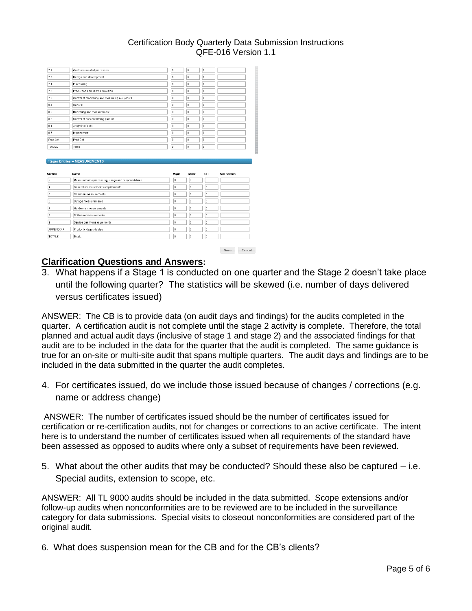| 7.2                                                                     | Customer-related processes                          | $\mathbf{0}$   | I٥           | $\mathbf{0}$ |                    |
|-------------------------------------------------------------------------|-----------------------------------------------------|----------------|--------------|--------------|--------------------|
| 7.3                                                                     | Design and development                              | $\overline{0}$ | o            | $\bf 0$      |                    |
| 7.4                                                                     | Purchasing                                          | $\bf{0}$       | lo.          | o            |                    |
| 7.5                                                                     | Production and service provision                    | $\overline{0}$ | l o          | $\bf{0}$     |                    |
| 7.6                                                                     | Control of monitoring and measuring equipment       | $\bf{0}$       | lo.          | $\mathbf{0}$ |                    |
| 8.1                                                                     | General                                             | $\bf{0}$       | lo.          | $\bf{0}$     |                    |
| 8.2                                                                     | Monitoring and measurement                          | $\mathbf{0}$   | lo.          | $\bf{0}$     |                    |
| 8.3                                                                     | Control of nonconforming product                    | $\mathbf{0}$   | lo.          | $\bf{0}$     |                    |
| 8.4                                                                     | Analysis of data                                    | $\mathbf{0}$   | lo.          | $\mathbf{0}$ |                    |
| 8.5                                                                     | Improvement                                         | $\mathbf{0}$   | lo.          | $\mathbf{0}$ |                    |
|                                                                         | Prod.Cat.                                           | $\mathbf{0}$   | lo.          | $\mathbf{0}$ |                    |
|                                                                         |                                                     |                |              |              |                    |
| Prod.Cat.<br><b>TOTALS</b>                                              | Totals<br>Integer Entries -- MEASUREMENTS           | $\,0\,$        | lo.          | l o          |                    |
|                                                                         | Name                                                | Major          | Minor        | OFI          | <b>Sub Section</b> |
|                                                                         | Measurements processing, usage and responsibilities | $\bf{0}$       | $\bf{0}$     | $\mathbf{0}$ |                    |
|                                                                         | General measurements requirements                   | $\mathbf{0}$   | $\bf{0}$     | $\mathbf{0}$ |                    |
|                                                                         | Common measurements                                 | $\mathbf{0}$   | $\mathbf{0}$ | o            |                    |
|                                                                         | Outage measurements                                 | $\bf 0$        | $\mathbf{0}$ | o.           |                    |
|                                                                         | Hardware measurements                               | $\mathbf{0}$   | $\bf{0}$     | $\mathbf{0}$ |                    |
|                                                                         | Software measurements                               | $\mathbf{0}$   | $\mathbf{0}$ | o            |                    |
|                                                                         | Service quality measurements                        | $\mathbf{0}$   | $\mathbf{0}$ | $\mathbf{0}$ |                    |
| <b>Section</b><br>з<br>l4<br>5<br>6<br>7<br>8<br>9<br><b>APPENDIX A</b> | Product category tables                             | $\bf{0}$       | $\bf{0}$     | $\theta$     |                    |

# **Clarification Questions and Answers:**

3. What happens if a Stage 1 is conducted on one quarter and the Stage 2 doesn't take place until the following quarter? The statistics will be skewed (i.e. number of days delivered versus certificates issued)

ANSWER: The CB is to provide data (on audit days and findings) for the audits completed in the quarter. A certification audit is not complete until the stage 2 activity is complete. Therefore, the total planned and actual audit days (inclusive of stage 1 and stage 2) and the associated findings for that audit are to be included in the data for the quarter that the audit is completed. The same guidance is true for an on-site or multi-site audit that spans multiple quarters. The audit days and findings are to be included in the data submitted in the quarter the audit completes.

4. For certificates issued, do we include those issued because of changes / corrections (e.g. name or address change)

ANSWER: The number of certificates issued should be the number of certificates issued for certification or re-certification audits, not for changes or corrections to an active certificate. The intent here is to understand the number of certificates issued when all requirements of the standard have been assessed as opposed to audits where only a subset of requirements have been reviewed.

5. What about the other audits that may be conducted? Should these also be captured – i.e. Special audits, extension to scope, etc.

ANSWER: All TL 9000 audits should be included in the data submitted. Scope extensions and/or follow-up audits when nonconformities are to be reviewed are to be included in the surveillance category for data submissions. Special visits to closeout nonconformities are considered part of the original audit.

6. What does suspension mean for the CB and for the CB's clients?